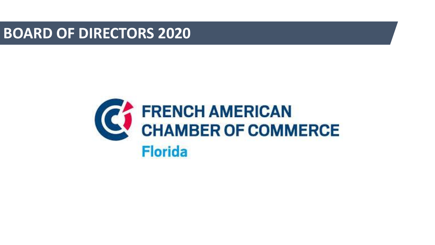**BOARD OF DIRECTORS 2020**

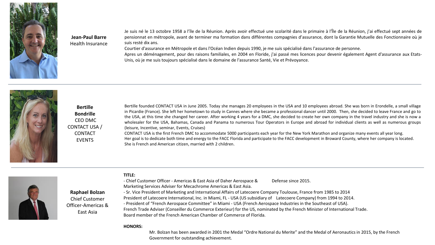

## **Jean-Paul Barre**  Health Insurance

Je suis né le 13 octobre 1958 a l'île de la Réunion. Après avoir effectué une scolarité dans le primaire à l'Île de la Réunion, j'ai effectué sept années de pensionnat en métropole, avant de terminer ma formation dans différentes compagnies d'assurance, dont la Garantie Mutuelle des Fonctionnaire où je suis resté dix ans.

Courtier d'assurance en Métropole et dans l'Océan Indien depuis 1990, je me suis spécialisé dans l'assurance de personne.

Apres un déménagement, pour des raisons familiales, en 2004 en Floride, j'ai passé mes licences pour devenir également Agent d'assurance aux Etats-Unis, où je me suis toujours spécialisé dans le domaine de l'assurance Santé, Vie et Prévoyance.



**Bertille Bondrille**  CEO DMC CONTACT USA / CONTACT **FVFNTS** 

**Raphael Bolzan** Chief Customer Officer-Americas & East Asia

Bertille founded CONTACT USA in June 2005. Today she manages 20 employees in the USA and 10 employees abroad. She was born in Erondelle, a small village in Picardie (France). She left her hometown to study in Cannes where she became a professional dancer until 2000. Then, she decided to leave France and go to the USA, at this time she changed her career. After working 4 years for a DMC, she decided to create her own company in the travel industry and she is now a wholesaler for the USA, Bahamas, Canada and Panama to numerous Tour Operators in Europe and abroad for individual clients as well as numerous groups (leisure, Incentive, seminar, Events, Cruises)

CONTACT USA is the first French DMC to accommodate 5000 participants each year for the New York Marathon and organize many events all year long. Her goal is to dedicate both time and energy to the FACC Florida and participate to the FACC development in Broward County, where her company is located. She is French and American citizen, married with 2 children.



## **TITLE:**

- Chief Customer Officer - Americas & East Asia of Daher Aerospace & Defense since 2015. Marketing Services Adviser for Mecachrome Americas & East Asia.

- Sr. Vice President of Marketing and International Affairs of Latecoere Company Toulouse, France from 1985 to 2014 President of Latecoere International, Inc. in Miami, FL - USA (US subsidiary of Latecoere Company) from 1994 to 2014. - President of "French Aerospace Committee" in Miami - USA (French Aerospace Industries in the Southeast of USA). French Trade Adviser (Conseiller du Commerce Exterieur) for the US, nominated by the French Minister of International Trade. Board member of the French American Chamber of Commerce of Florida.

#### **HONORS:**

Mr. Bolzan has been awarded in 2001 the Medal "Ordre National du Merite" and the Medal of Aeronautics in 2015, by the French Government for outstanding achievement.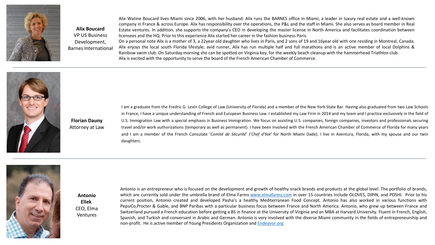

**Alix Boucard** VP US Business Development, Barnes International Alix Watine Boucard lives Miami since 2006, with her husband. Alix runs the BARNES office in Miami, a leader in luxury real estate and a well-known company in France & across Europe. Alix has responsibility over the operations, the P&L and the staff in Miami. She also serves as board member in Real Estate ventures. In addition, she supports the company's CEO in developing the master license in North America and facilitates coordination between licensees and the HQ. Prior to this experience Alix started her career in the fashion business Paris.

On a personal note Alix is a mother of 3, a 22year old daughter who lives in Paris, and 2 sons of 19 and 16year old with one residing in Montreal, Canada. Alix enjoys the local south Florida lifestyle; avid runner, Alix has run multiple half and full marathons and is an active member of local Dolphins & Rainbow swim club. On Saturday morning she can be spotted on Virginia key, for the weekly beach cleanup with the hammerhead Triathlon club. Alix is excited with the opportunity to serve the board of the French American Chamber of Commerce.



I am a graduate from the Fredric G. Levin College of Law (University of Florida) and a member of the New York State Bar. Having also graduated from two Law Schools in France, I have a unique understanding of French and European Business Law. I established my Law Firm in 2014 and my team and I practice exclusively in the field of U.S. Immigration Law with a special emphasis in Business Immigration. We focus on assisting U.S. companies, foreign companies, investors and professionals securing travel and/or work authorizations (temporary as well as permanent). I have been involved with the French American Chamber of Commerce of Florida for many years and I am a member of the French Consulate '*Comité de Sécurité*' ('*Chef d'Ilot'* for North Miami Dade). I live in Aventura, Florida, with my spouse and our twin daughters.



**Antonio Ellek** CEO, Elma Ventures

Antonio is an entrepreneur who is focused on the development and growth of healthy snack brands and products at the global level. The portfolio of brands, which are currently sold under the umbrella brand of Elma Farms [www.elmafarms.com](http://www.elmafarms.com/) in over 15 countries include OLOVES, DIPIN, and POSHI. Prior to his current position, Antonio created and developed Pasha's a healthy Mediterranean Food Concept. Antonio has also worked in various functions with PepsiCo,Procter & Gable, and BNP Paribas with a particular business focus between France and North America. Antonio, who grew up between France and Switzerland pursued a French education before getting a BS in finance at the University of Virginia and an MBA at Harvard University. Fluent in French, English, Spanish, and Turkish and conversant in Arabic and German. Antonio is very involved with the diverse Miami community in the fields of entrepreneurship and non-profit. He is active member of Young Presidents Organization and [Endeavor.org](http://endeavor.org/)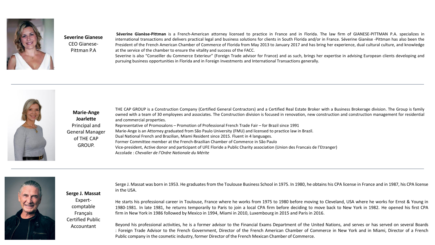

# **Severine Gianese**  CEO Gianese-Pittman P.A

**Séverine Gianèse-Pittman** is a French-American attorney licensed to practice in France and in Florida. The law firm of GIANESE-PITTMAN P.A. specializes in international transactions and delivers practical legal and business solutions for clients in South Florida and/or in France. Séverine Gianèse -Pittman has also been the President of the French American Chamber of Commerce of Florida from May 2013 to January 2017 and has bring her experience, dual cultural culture, and knowledge at the service of the chamber to ensure the vitality and success of the FACC.

Severine is also "Conseiller du Commerce Exterieur" (Foreign Trade advisor for France) and as such, brings her expertise in advising European clients developing and pursuing business opportunities in Florida and in Foreign Investments and International Transactions generally.



**Marie-Ange Joarlette**  Principal and General Manager of THE CAP GROUP.

**Serge J. Massat**  Expertcomptable Français Certified Public Accountant

THE CAP GROUP is a Construction Company (Certified General Contractors) and a Certified Real Estate Broker with a Business Brokerage division. The Group is family owned with a team of 30 employees and associates. The Construction division is focused in renovation, new construction and construction management for residential and commercial properties.

Representative of Promosalons – Promotion of Professional French Trade Fair – for Brazil since 1991 Marie-Ange is an Attorney graduated from São Paulo University (FMU) and licensed to practice law in Brazil. Dual National French and Brazilian, Miami Resident since 2015. Fluent in 4 languages. Former Committee member at the French-Brazilian Chamber of Commerce in São Paulo Vice-president, Active donor and participant of UFE Floride a Public Charity association (Union des Francais de l'Etranger) Accolade : *Chevalier de l'Ordre Nationale du Mérite*



Serge J. Massat was born in 1953. He graduates from the Toulouse Business School in 1975. In 1980, he obtains his CPA license in France and in 1987, his CPA license in the USA.

He starts his professional career in Toulouse, France where he works from 1975 to 1980 before moving to Cleveland, USA where he works for Ernst & Young in 1980-1981. In late 1981, he returns temporarily to Paris to join a local CPA firm before deciding to move back to New York in 1982. He opened his first CPA firm in New York in 1986 followed by Mexico in 1994, Miami in 2010, Luxembourg in 2015 and Paris in 2016.

Beyond his professional activities, he is a former advisor to the Financial Exams Department of the United Nations, and serves or has served on several Boards : Foreign Trade Advisor to the French Government, Director of the French American Chamber of Commerce in New York and in Miami, Director of a French Public company in the cosmetic industry, former Director of the French Mexican Chamber of Commerce.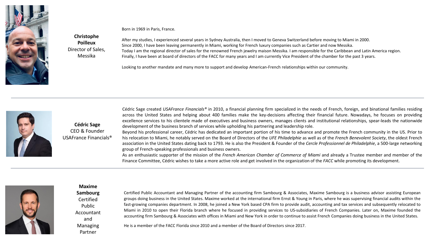

Born in 1969 in Paris, France. **Christophe Poilleux**

After my studies, I experienced several years in Sydney Australia, then I moved to Geneva Switzerland before moving to Miami in 2000. Since 2000, I have been leaving permanently in Miami, working for French luxury companies such as Cartier and now Messika. Today I am the regional director of sales for the renowned French jewelry maison Messika. I am responsible for the Caribbean and Latin America region. Finally, I have been at board of directors of the FACC for many years and I am currently Vice President of the chamber for the past 3 years.

Looking to another mandate and many more to support and develop American-French relationships within our community.



**Cédric Sage**  CEO & Founder USAFrance Financials®

Director of Sales, Messika

> Cédric Sage created *USAFrance Financials®* in 2010, a financial planning firm specialized in the needs of French, foreign, and binational families residing across the United States and helping about 400 families make the key-decisions affecting their financial future. Nowadays, he focuses on providing excellence services to his clientele made of executives and business owners, manages clients and institutional relationships, spear-leads the nationwide development of the business branch of services while upholding his partnering and leadership role.

> Beyond his professional career, Cédric has dedicated an important portion of his time to advance and promote the French community in the US. Prior to his relocation to Miami, he notably served on the Board of Directors of the *UFE Philadelphie* as well as of the *French Benevolent Society*, the oldest French association in the United States dating back to 1793. He is also the President & Founder of the *Cercle Professionnel de Philadelphie*, a 500-large networking group of French-speaking professionals and business owners.

> As an enthusiastic supporter of the mission of the *French American Chamber of Commerce of Miami* and already a Trustee member and member of the Finance Committee, Cédric wishes to take a more active role and get involved in the organization of the *FACC* while promoting its development.



### **Maxime**

**Sambourg**  Certified Public Accountant and Managing Partner

Certified Public Accountant and Managing Partner of the accounting firm Sambourg & Associates, Maxime Sambourg is a business advisor assisting European groups doing business in the United States. Maxime worked at the international firm Ernst & Young in Paris, where he was supervising financial audits within the fast-growing companies department. In 2008, he joined a New York based CPA firm to provide audit, accounting and tax services and subsequently relocated to Miami in 2010 to open their Florida branch where he focused in providing services to US-subsidiaries of French Companies. Later on, Maxime founded the accounting firm Sambourg & Associates with offices in Miami and New York in order to continue to assist French Companies doing business in the United States.

He is a member of the FACC Florida since 2010 and a member of the Board of Directors since 2017.